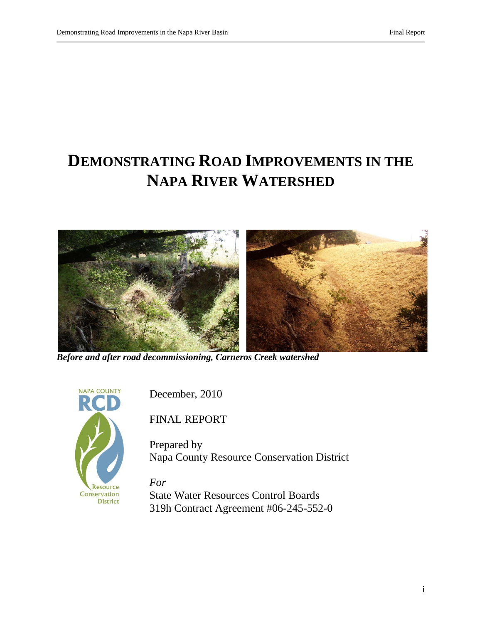# **DEMONSTRATING ROAD IMPROVEMENTS IN THE NAPA RIVER WATERSHED**



*Before and after road decommissioning, Carneros Creek watershed*



December, 2010

FINAL REPORT

Prepared by Napa County Resource Conservation District

*For* State Water Resources Control Boards 319h Contract Agreement #06-245-552-0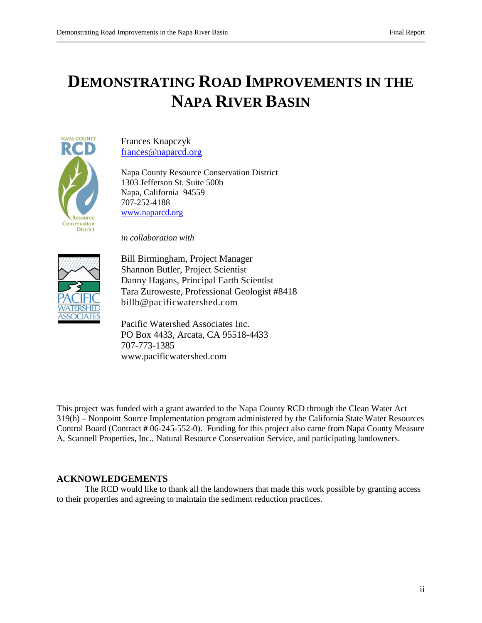# **DEMONSTRATING ROAD IMPROVEMENTS IN THE NAPA RIVER BASIN**



Frances Knapczyk [frances@naparcd.org](mailto:frances@naparcd.org)

Napa County Resource Conservation District 1303 Jefferson St. Suite 500b Napa, California 94559 707-252-4188 [www.naparcd.org](http://www.naparcd.org/)

*in collaboration with*



Bill Birmingham, Project Manager Shannon Butler, Project Scientist Danny Hagans, Principal Earth Scientist Tara Zuroweste, Professional Geologist #8418 billb@pacificwatershed.com

Pacific Watershed Associates Inc. PO Box 4433, Arcata, CA 95518-4433 707-773-1385 www.pacificwatershed.com

This project was funded with a grant awarded to the Napa County RCD through the Clean Water Act 319(h) – Nonpoint Source Implementation program administered by the California State Water Resources Control Board (Contract **#** 06-245-552-0). Funding for this project also came from Napa County Measure A, Scannell Properties, Inc., Natural Resource Conservation Service, and participating landowners.

#### **ACKNOWLEDGEMENTS**

The RCD would like to thank all the landowners that made this work possible by granting access to their properties and agreeing to maintain the sediment reduction practices.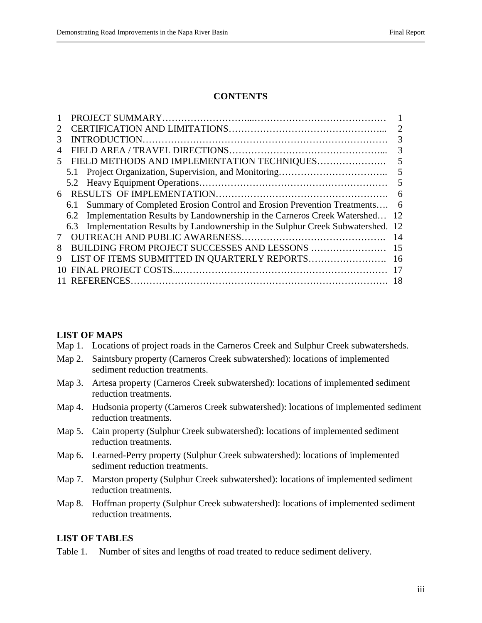#### **CONTENTS**

| $\mathcal{D}_{\mathcal{L}}$ |                                                                                      | 2   |
|-----------------------------|--------------------------------------------------------------------------------------|-----|
| 3                           |                                                                                      | 3   |
| 4                           |                                                                                      | 3   |
| 5                           | FIELD METHODS AND IMPLEMENTATION TECHNIQUES                                          | 5   |
|                             | 5.1                                                                                  | 5   |
|                             |                                                                                      | 5   |
| 6                           |                                                                                      | 6   |
|                             | Summary of Completed Erosion Control and Erosion Prevention Treatments 6<br>6.1      |     |
|                             | 6.2 Implementation Results by Landownership in the Carneros Creek Watershed          | -12 |
|                             | Implementation Results by Landownership in the Sulphur Creek Subwatershed. 12<br>6.3 |     |
|                             |                                                                                      | 14  |
| 8                           |                                                                                      | 15  |
| 9                           |                                                                                      | 16  |
| 10                          |                                                                                      |     |
|                             |                                                                                      |     |

#### **LIST OF MAPS**

- Map 1. Locations of project roads in the Carneros Creek and Sulphur Creek subwatersheds.
- Map 2. Saintsbury property (Carneros Creek subwatershed): locations of implemented sediment reduction treatments.
- Map 3. Artesa property (Carneros Creek subwatershed): locations of implemented sediment reduction treatments.
- Map 4. Hudsonia property (Carneros Creek subwatershed): locations of implemented sediment reduction treatments.
- Map 5. Cain property (Sulphur Creek subwatershed): locations of implemented sediment reduction treatments.
- Map 6. Learned-Perry property (Sulphur Creek subwatershed): locations of implemented sediment reduction treatments.
- Map 7. Marston property (Sulphur Creek subwatershed): locations of implemented sediment reduction treatments.
- Map 8. Hoffman property (Sulphur Creek subwatershed): locations of implemented sediment reduction treatments.

#### **LIST OF TABLES**

Table 1. Number of sites and lengths of road treated to reduce sediment delivery.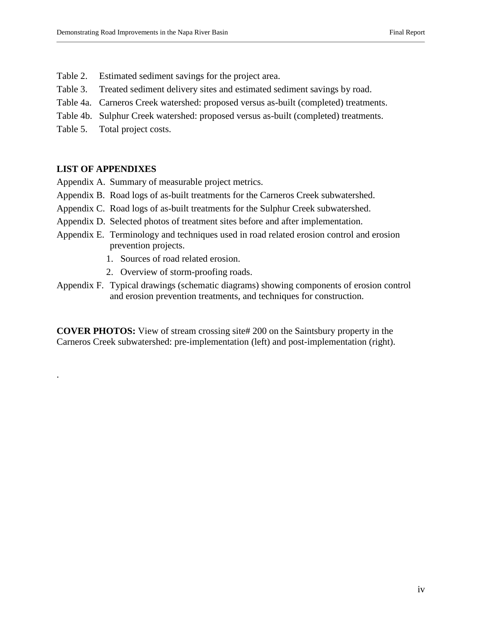- Table 2. Estimated sediment savings for the project area.
- Table 3. Treated sediment delivery sites and estimated sediment savings by road.
- Table 4a. Carneros Creek watershed: proposed versus as-built (completed) treatments.
- Table 4b. Sulphur Creek watershed: proposed versus as-built (completed) treatments.
- Table 5. Total project costs.

#### **LIST OF APPENDIXES**

.

- Appendix A. Summary of measurable project metrics.
- Appendix B. Road logs of as-built treatments for the Carneros Creek subwatershed.
- Appendix C. Road logs of as-built treatments for the Sulphur Creek subwatershed.
- Appendix D. Selected photos of treatment sites before and after implementation.
- Appendix E. Terminology and techniques used in road related erosion control and erosion prevention projects.
	- 1. Sources of road related erosion.
	- 2. Overview of storm-proofing roads.
- Appendix F. Typical drawings (schematic diagrams) showing components of erosion control and erosion prevention treatments, and techniques for construction.

**COVER PHOTOS:** View of stream crossing site# 200 on the Saintsbury property in the Carneros Creek subwatershed: pre-implementation (left) and post-implementation (right).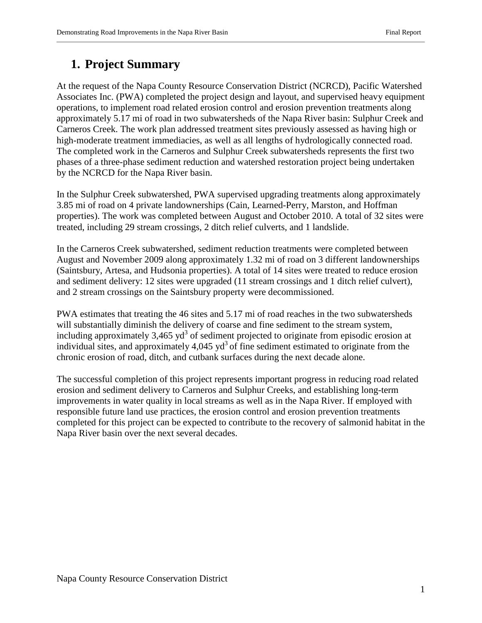# **1. Project Summary**

At the request of the Napa County Resource Conservation District (NCRCD), Pacific Watershed Associates Inc. (PWA) completed the project design and layout, and supervised heavy equipment operations, to implement road related erosion control and erosion prevention treatments along approximately 5.17 mi of road in two subwatersheds of the Napa River basin: Sulphur Creek and Carneros Creek. The work plan addressed treatment sites previously assessed as having high or high-moderate treatment immediacies, as well as all lengths of hydrologically connected road. The completed work in the Carneros and Sulphur Creek subwatersheds represents the first two phases of a three-phase sediment reduction and watershed restoration project being undertaken by the NCRCD for the Napa River basin.

In the Sulphur Creek subwatershed, PWA supervised upgrading treatments along approximately 3.85 mi of road on 4 private landownerships (Cain, Learned-Perry, Marston, and Hoffman properties). The work was completed between August and October 2010. A total of 32 sites were treated, including 29 stream crossings, 2 ditch relief culverts, and 1 landslide.

In the Carneros Creek subwatershed, sediment reduction treatments were completed between August and November 2009 along approximately 1.32 mi of road on 3 different landownerships (Saintsbury, Artesa, and Hudsonia properties). A total of 14 sites were treated to reduce erosion and sediment delivery: 12 sites were upgraded (11 stream crossings and 1 ditch relief culvert), and 2 stream crossings on the Saintsbury property were decommissioned.

PWA estimates that treating the 46 sites and 5.17 mi of road reaches in the two subwatersheds will substantially diminish the delivery of coarse and fine sediment to the stream system, including approximately  $3,465 \text{ yd}^3$  of sediment projected to originate from episodic erosion at individual sites, and approximately 4,045  $yd^3$  of fine sediment estimated to originate from the chronic erosion of road, ditch, and cutbank surfaces during the next decade alone.

The successful completion of this project represents important progress in reducing road related erosion and sediment delivery to Carneros and Sulphur Creeks, and establishing long-term improvements in water quality in local streams as well as in the Napa River. If employed with responsible future land use practices, the erosion control and erosion prevention treatments completed for this project can be expected to contribute to the recovery of salmonid habitat in the Napa River basin over the next several decades.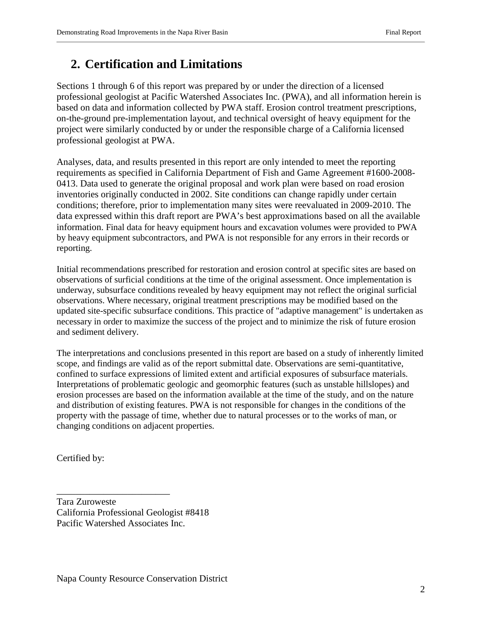## **2. Certification and Limitations**

Sections 1 through 6 of this report was prepared by or under the direction of a licensed professional geologist at Pacific Watershed Associates Inc. (PWA), and all information herein is based on data and information collected by PWA staff. Erosion control treatment prescriptions, on-the-ground pre-implementation layout, and technical oversight of heavy equipment for the project were similarly conducted by or under the responsible charge of a California licensed professional geologist at PWA.

Analyses, data, and results presented in this report are only intended to meet the reporting requirements as specified in California Department of Fish and Game Agreement #1600-2008- 0413. Data used to generate the original proposal and work plan were based on road erosion inventories originally conducted in 2002. Site conditions can change rapidly under certain conditions; therefore, prior to implementation many sites were reevaluated in 2009-2010. The data expressed within this draft report are PWA's best approximations based on all the available information. Final data for heavy equipment hours and excavation volumes were provided to PWA by heavy equipment subcontractors, and PWA is not responsible for any errors in their records or reporting.

Initial recommendations prescribed for restoration and erosion control at specific sites are based on observations of surficial conditions at the time of the original assessment. Once implementation is underway, subsurface conditions revealed by heavy equipment may not reflect the original surficial observations. Where necessary, original treatment prescriptions may be modified based on the updated site-specific subsurface conditions. This practice of "adaptive management" is undertaken as necessary in order to maximize the success of the project and to minimize the risk of future erosion and sediment delivery.

The interpretations and conclusions presented in this report are based on a study of inherently limited scope, and findings are valid as of the report submittal date. Observations are semi-quantitative, confined to surface expressions of limited extent and artificial exposures of subsurface materials. Interpretations of problematic geologic and geomorphic features (such as unstable hillslopes) and erosion processes are based on the information available at the time of the study, and on the nature and distribution of existing features. PWA is not responsible for changes in the conditions of the property with the passage of time, whether due to natural processes or to the works of man, or changing conditions on adjacent properties.

Certified by:

Tara Zuroweste California Professional Geologist #8418 Pacific Watershed Associates Inc.

\_\_\_\_\_\_\_\_\_\_\_\_\_\_\_\_\_\_\_\_\_\_\_\_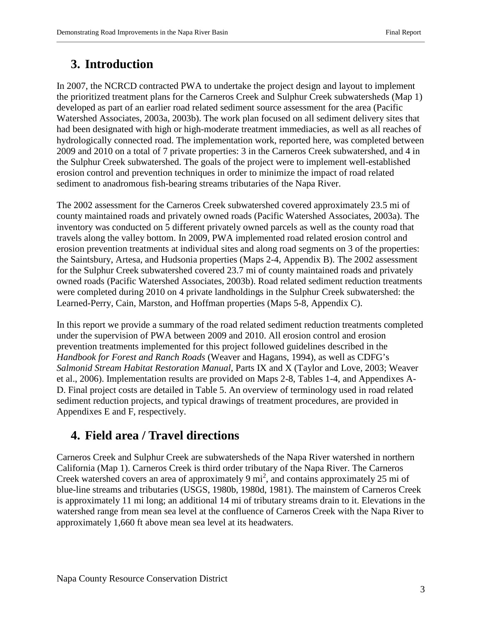# **3. Introduction**

In 2007, the NCRCD contracted PWA to undertake the project design and layout to implement the prioritized treatment plans for the Carneros Creek and Sulphur Creek subwatersheds (Map 1) developed as part of an earlier road related sediment source assessment for the area (Pacific Watershed Associates, 2003a, 2003b). The work plan focused on all sediment delivery sites that had been designated with high or high-moderate treatment immediacies, as well as all reaches of hydrologically connected road. The implementation work, reported here, was completed between 2009 and 2010 on a total of 7 private properties: 3 in the Carneros Creek subwatershed, and 4 in the Sulphur Creek subwatershed. The goals of the project were to implement well-established erosion control and prevention techniques in order to minimize the impact of road related sediment to anadromous fish-bearing streams tributaries of the Napa River.

The 2002 assessment for the Carneros Creek subwatershed covered approximately 23.5 mi of county maintained roads and privately owned roads (Pacific Watershed Associates, 2003a). The inventory was conducted on 5 different privately owned parcels as well as the county road that travels along the valley bottom. In 2009, PWA implemented road related erosion control and erosion prevention treatments at individual sites and along road segments on 3 of the properties: the Saintsbury, Artesa, and Hudsonia properties (Maps 2-4, Appendix B). The 2002 assessment for the Sulphur Creek subwatershed covered 23.7 mi of county maintained roads and privately owned roads (Pacific Watershed Associates, 2003b). Road related sediment reduction treatments were completed during 2010 on 4 private landholdings in the Sulphur Creek subwatershed: the Learned-Perry, Cain, Marston, and Hoffman properties (Maps 5-8, Appendix C).

In this report we provide a summary of the road related sediment reduction treatments completed under the supervision of PWA between 2009 and 2010. All erosion control and erosion prevention treatments implemented for this project followed guidelines described in the *Handbook for Forest and Ranch Roads* (Weaver and Hagans, 1994), as well as CDFG's *Salmonid Stream Habitat Restoration Manual*, Parts IX and X (Taylor and Love, 2003; Weaver et al., 2006). Implementation results are provided on Maps 2-8, Tables 1-4, and Appendixes A-D. Final project costs are detailed in Table 5. An overview of terminology used in road related sediment reduction projects, and typical drawings of treatment procedures, are provided in Appendixes E and F, respectively.

# **4. Field area / Travel directions**

Carneros Creek and Sulphur Creek are subwatersheds of the Napa River watershed in northern California (Map 1). Carneros Creek is third order tributary of the Napa River. The Carneros Creek watershed covers an area of approximately 9  $mi^2$ , and contains approximately 25 mi of blue-line streams and tributaries (USGS, 1980b, 1980d, 1981). The mainstem of Carneros Creek is approximately 11 mi long; an additional 14 mi of tributary streams drain to it. Elevations in the watershed range from mean sea level at the confluence of Carneros Creek with the Napa River to approximately 1,660 ft above mean sea level at its headwaters.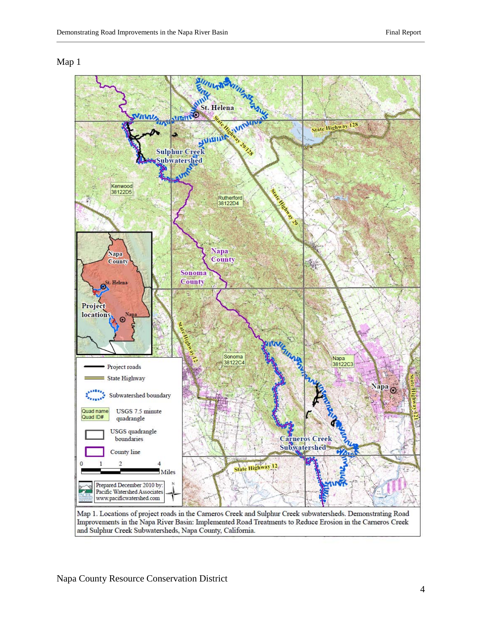#### Map 1

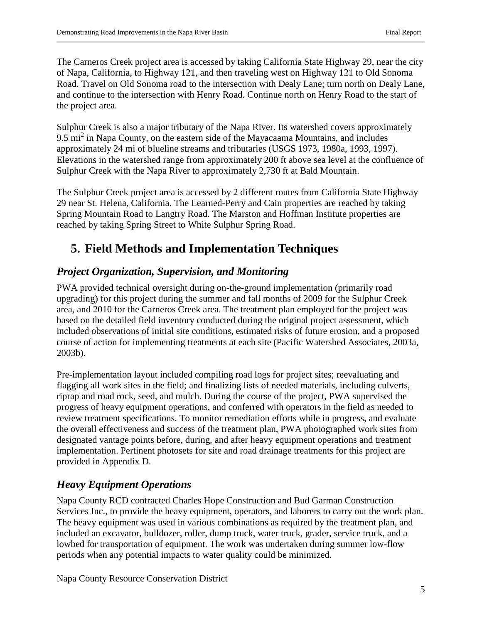The Carneros Creek project area is accessed by taking California State Highway 29, near the city of Napa, California, to Highway 121, and then traveling west on Highway 121 to Old Sonoma Road. Travel on Old Sonoma road to the intersection with Dealy Lane; turn north on Dealy Lane, and continue to the intersection with Henry Road. Continue north on Henry Road to the start of the project area.

Sulphur Creek is also a major tributary of the Napa River. Its watershed covers approximately 9.5 mi<sup>2</sup> in Napa County, on the eastern side of the Mayacaama Mountains, and includes approximately 24 mi of blueline streams and tributaries (USGS 1973, 1980a, 1993, 1997). Elevations in the watershed range from approximately 200 ft above sea level at the confluence of Sulphur Creek with the Napa River to approximately 2,730 ft at Bald Mountain.

The Sulphur Creek project area is accessed by 2 different routes from California State Highway 29 near St. Helena, California. The Learned-Perry and Cain properties are reached by taking Spring Mountain Road to Langtry Road. The Marston and Hoffman Institute properties are reached by taking Spring Street to White Sulphur Spring Road.

# **5. Field Methods and Implementation Techniques**

### *Project Organization, Supervision, and Monitoring*

PWA provided technical oversight during on-the-ground implementation (primarily road upgrading) for this project during the summer and fall months of 2009 for the Sulphur Creek area, and 2010 for the Carneros Creek area. The treatment plan employed for the project was based on the detailed field inventory conducted during the original project assessment, which included observations of initial site conditions, estimated risks of future erosion, and a proposed course of action for implementing treatments at each site (Pacific Watershed Associates, 2003a, 2003b).

Pre-implementation layout included compiling road logs for project sites; reevaluating and flagging all work sites in the field; and finalizing lists of needed materials, including culverts, riprap and road rock, seed, and mulch. During the course of the project, PWA supervised the progress of heavy equipment operations, and conferred with operators in the field as needed to review treatment specifications. To monitor remediation efforts while in progress, and evaluate the overall effectiveness and success of the treatment plan, PWA photographed work sites from designated vantage points before, during, and after heavy equipment operations and treatment implementation. Pertinent photosets for site and road drainage treatments for this project are provided in Appendix D.

### *Heavy Equipment Operations*

Napa County RCD contracted Charles Hope Construction and Bud Garman Construction Services Inc., to provide the heavy equipment, operators, and laborers to carry out the work plan. The heavy equipment was used in various combinations as required by the treatment plan, and included an excavator, bulldozer, roller, dump truck, water truck, grader, service truck, and a lowbed for transportation of equipment. The work was undertaken during summer low-flow periods when any potential impacts to water quality could be minimized.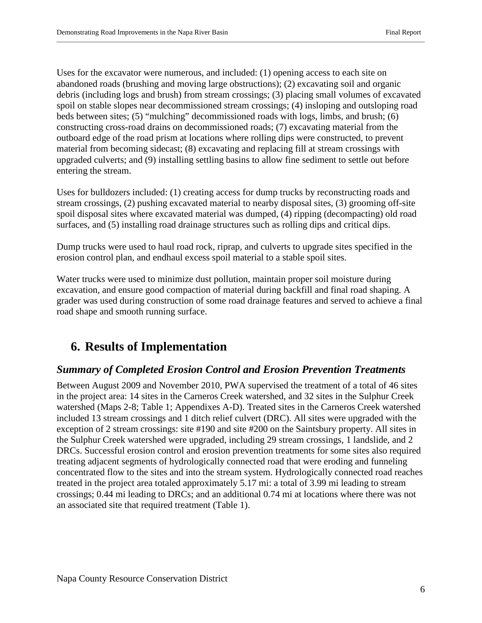Uses for the excavator were numerous, and included: (1) opening access to each site on abandoned roads (brushing and moving large obstructions); (2) excavating soil and organic debris (including logs and brush) from stream crossings; (3) placing small volumes of excavated spoil on stable slopes near decommissioned stream crossings; (4) insloping and outsloping road beds between sites; (5) "mulching" decommissioned roads with logs, limbs, and brush; (6) constructing cross-road drains on decommissioned roads; (7) excavating material from the outboard edge of the road prism at locations where rolling dips were constructed, to prevent material from becoming sidecast; (8) excavating and replacing fill at stream crossings with upgraded culverts; and (9) installing settling basins to allow fine sediment to settle out before entering the stream.

Uses for bulldozers included: (1) creating access for dump trucks by reconstructing roads and stream crossings, (2) pushing excavated material to nearby disposal sites, (3) grooming off-site spoil disposal sites where excavated material was dumped, (4) ripping (decompacting) old road surfaces, and (5) installing road drainage structures such as rolling dips and critical dips.

Dump trucks were used to haul road rock, riprap, and culverts to upgrade sites specified in the erosion control plan, and endhaul excess spoil material to a stable spoil sites.

Water trucks were used to minimize dust pollution, maintain proper soil moisture during excavation, and ensure good compaction of material during backfill and final road shaping. A grader was used during construction of some road drainage features and served to achieve a final road shape and smooth running surface.

# **6. Results of Implementation**

### *Summary of Completed Erosion Control and Erosion Prevention Treatments*

Between August 2009 and November 2010, PWA supervised the treatment of a total of 46 sites in the project area: 14 sites in the Carneros Creek watershed, and 32 sites in the Sulphur Creek watershed (Maps 2-8; Table 1; Appendixes A-D). Treated sites in the Carneros Creek watershed included 13 stream crossings and 1 ditch relief culvert (DRC). All sites were upgraded with the exception of 2 stream crossings: site #190 and site #200 on the Saintsbury property. All sites in the Sulphur Creek watershed were upgraded, including 29 stream crossings, 1 landslide, and 2 DRCs. Successful erosion control and erosion prevention treatments for some sites also required treating adjacent segments of hydrologically connected road that were eroding and funneling concentrated flow to the sites and into the stream system. Hydrologically connected road reaches treated in the project area totaled approximately 5.17 mi: a total of 3.99 mi leading to stream crossings; 0.44 mi leading to DRCs; and an additional 0.74 mi at locations where there was not an associated site that required treatment (Table 1).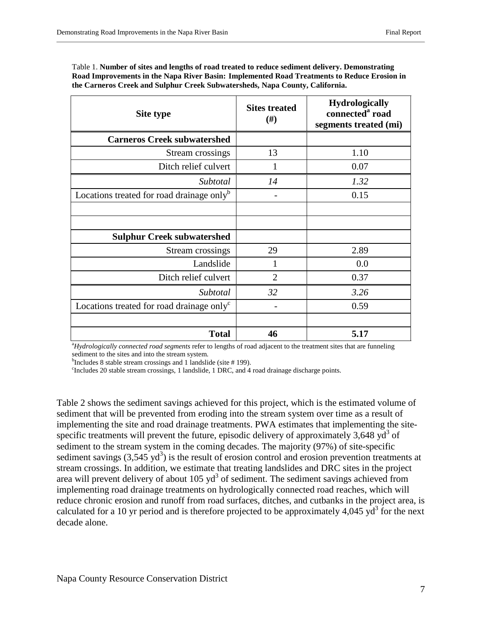| Table 1. Number of sites and lengths of road treated to reduce sediment delivery. Demonstrating |
|-------------------------------------------------------------------------------------------------|
| Road Improvements in the Napa River Basin: Implemented Road Treatments to Reduce Erosion in     |
| the Carneros Creek and Sulphur Creek Subwatersheds, Napa County, California.                    |

| Site type                                             | <b>Sites treated</b><br>#) | <b>Hydrologically</b><br>connected <sup>a</sup> road<br>segments treated (mi) |
|-------------------------------------------------------|----------------------------|-------------------------------------------------------------------------------|
| <b>Carneros Creek subwatershed</b>                    |                            |                                                                               |
| Stream crossings                                      | 13                         | 1.10                                                                          |
| Ditch relief culvert                                  |                            | 0.07                                                                          |
| Subtotal                                              | 14                         | 1.32                                                                          |
| Locations treated for road drainage only <sup>b</sup> |                            | 0.15                                                                          |
|                                                       |                            |                                                                               |
|                                                       |                            |                                                                               |
| <b>Sulphur Creek subwatershed</b>                     |                            |                                                                               |
| Stream crossings                                      | 29                         | 2.89                                                                          |
| Landslide                                             |                            | 0.0                                                                           |
| Ditch relief culvert                                  | $\overline{2}$             | 0.37                                                                          |
| Subtotal                                              | 32                         | 3.26                                                                          |
| Locations treated for road drainage only <sup>c</sup> |                            | 0.59                                                                          |
|                                                       |                            |                                                                               |
| <b>Total</b>                                          | 46                         | 5.17                                                                          |

a *Hydrologically connected road segments* refer to lengths of road adjacent to the treatment sites that are funneling sediment to the sites and into the stream system.

b Includes 8 stable stream crossings and 1 landslide (site  $# 199$ ).

<sup>c</sup>Includes 20 stable stream crossings, 1 landslide, 1 DRC, and 4 road drainage discharge points.

Table 2 shows the sediment savings achieved for this project, which is the estimated volume of sediment that will be prevented from eroding into the stream system over time as a result of implementing the site and road drainage treatments. PWA estimates that implementing the sitespecific treatments will prevent the future, episodic delivery of approximately  $3,648 \text{ yd}^3$  of sediment to the stream system in the coming decades. The majority (97%) of site-specific sediment savings  $(3,545 \text{ yd}^3)$  is the result of erosion control and erosion prevention treatments at stream crossings. In addition, we estimate that treating landslides and DRC sites in the project area will prevent delivery of about  $105 \text{ yd}^3$  of sediment. The sediment savings achieved from implementing road drainage treatments on hydrologically connected road reaches, which will reduce chronic erosion and runoff from road surfaces, ditches, and cutbanks in the project area, is calculated for a 10 yr period and is therefore projected to be approximately 4,045 yd<sup>3</sup> for the next decade alone.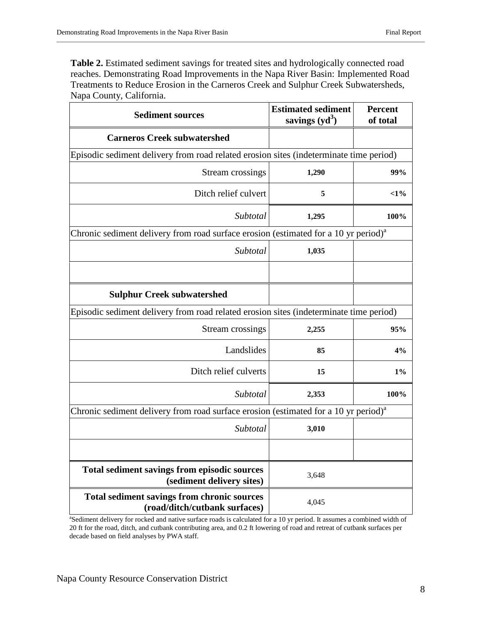Table 2. Estimated sediment savings for treated sites and hydrologically connected road reaches. Demonstrating Road Improvements in the Napa River Basin: Implemented Road Treatments to Reduce Erosion in the Carneros Creek and Sulphur Creek Subwatersheds, Napa County, California.

| <b>Sediment sources</b>                                                                         | <b>Estimated sediment</b><br>savings $(yd^3)$ | <b>Percent</b><br>of total |  |  |
|-------------------------------------------------------------------------------------------------|-----------------------------------------------|----------------------------|--|--|
| <b>Carneros Creek subwatershed</b>                                                              |                                               |                            |  |  |
| Episodic sediment delivery from road related erosion sites (indeterminate time period)          |                                               |                            |  |  |
| Stream crossings                                                                                | 1,290                                         | 99%                        |  |  |
| Ditch relief culvert                                                                            | 5                                             | $<$ 1%                     |  |  |
| Subtotal                                                                                        | 1,295                                         | 100%                       |  |  |
| Chronic sediment delivery from road surface erosion (estimated for a 10 yr period) <sup>a</sup> |                                               |                            |  |  |
| Subtotal                                                                                        | 1,035                                         |                            |  |  |
|                                                                                                 |                                               |                            |  |  |
| <b>Sulphur Creek subwatershed</b>                                                               |                                               |                            |  |  |
| Episodic sediment delivery from road related erosion sites (indeterminate time period)          |                                               |                            |  |  |
| <b>Stream crossings</b>                                                                         | 2,255                                         | 95%                        |  |  |
| Landslides                                                                                      | 85                                            | 4%                         |  |  |
| Ditch relief culverts                                                                           | 15                                            | $1\%$                      |  |  |
| Subtotal                                                                                        | 2,353                                         | 100%                       |  |  |
| Chronic sediment delivery from road surface erosion (estimated for a 10 yr period) <sup>a</sup> |                                               |                            |  |  |
| Subtotal                                                                                        | 3,010                                         |                            |  |  |
|                                                                                                 |                                               |                            |  |  |
| Total sediment savings from episodic sources<br>(sediment delivery sites)                       | 3,648                                         |                            |  |  |
| <b>Total sediment savings from chronic sources</b><br>(road/ditch/cutbank surfaces)             | 4,045                                         |                            |  |  |

<sup>a</sup>Sediment delivery for rocked and native surface roads is calculated for a 10 yr period. It assumes a combined width of 20 ft for the road, ditch, and cutbank contributing area, and 0.2 ft lowering of road and retreat of cutbank surfaces per decade based on field analyses by PWA staff.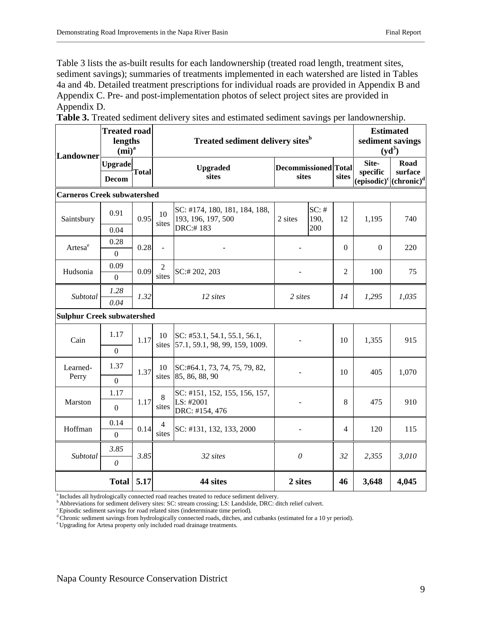Table 3 lists the as-built results for each landownership (treated road length, treatment sites, sediment savings); summaries of treatments implemented in each watershed are listed in Tables 4a and 4b. Detailed treatment prescriptions for individual roads are provided in Appendix B and Appendix C. Pre- and post-implementation photos of select project sites are provided in Appendix D.

**Table 3.** Treated sediment delivery sites and estimated sediment savings per landownership.

| Landowner                          | <b>Treated road</b><br>lengths<br>$(mi)^a$ |              | <b>Treated sediment delivery sites</b> <sup>b</sup> |                                                                |         |                                      | <b>Estimated</b><br>sediment savings<br>$(yd^3)$ |                                                                |                 |
|------------------------------------|--------------------------------------------|--------------|-----------------------------------------------------|----------------------------------------------------------------|---------|--------------------------------------|--------------------------------------------------|----------------------------------------------------------------|-----------------|
|                                    | <b>Upgrade</b><br><b>Decom</b>             | <b>Total</b> |                                                     | <b>Upgraded</b><br>sites                                       |         | <b>Decommissioned</b> Total<br>sites |                                                  | Site-<br>specific<br>$(e$ pisodic $)^c$ (chronic) <sup>d</sup> | Road<br>surface |
| <b>Carneros Creek subwatershed</b> |                                            |              |                                                     |                                                                |         |                                      |                                                  |                                                                |                 |
| Saintsbury                         | 0.91                                       |              | 10<br>0.95<br>sites                                 | SC: #174, 180, 181, 184, 188,<br>193, 196, 197, 500            | 2 sites | $SC:$ #<br>190,                      | 12                                               | 1,195                                                          | 740             |
|                                    | 0.04                                       |              |                                                     | DRC:#183                                                       |         | 200                                  |                                                  |                                                                |                 |
| Artesa <sup>e</sup>                | 0.28<br>$\boldsymbol{0}$                   | 0.28         | $\blacksquare$                                      |                                                                |         |                                      | $\Omega$                                         | $\Omega$                                                       | 220             |
| Hudsonia                           | 0.09<br>$\Omega$                           | 0.09         | 2<br>sites                                          | SC:#202, 203                                                   |         |                                      | 2                                                | 100                                                            | 75              |
| Subtotal                           | 1.28<br>0.04                               | 1.32         |                                                     | 12 sites                                                       | 2 sites |                                      | 14                                               | 1,295                                                          | 1,035           |
| <b>Sulphur Creek subwatershed</b>  |                                            |              |                                                     |                                                                |         |                                      |                                                  |                                                                |                 |
| Cain                               | 1.17                                       | 1.17         |                                                     | SC: #53.1, 54.1, 55.1, 56.1,<br>57.1, 59.1, 98, 99, 159, 1009. |         |                                      | 10                                               | 1,355                                                          | 915             |
|                                    | $\boldsymbol{0}$                           |              | sites                                               |                                                                |         |                                      |                                                  |                                                                |                 |
| Learned-<br>Perry                  | 1.37                                       | 1.37         | 10<br>sites                                         | SC:#64.1, 73, 74, 75, 79, 82,<br>85, 86, 88, 90                |         |                                      |                                                  | 405                                                            | 1,070           |
|                                    | $\overline{0}$                             |              |                                                     |                                                                |         |                                      |                                                  |                                                                |                 |
| Marston                            | 1.17<br>$\boldsymbol{0}$                   | 1.17         | 8<br>sites                                          | SC: #151, 152, 155, 156, 157,<br>LS: #2001<br>DRC: #154, 476   |         |                                      | 8                                                | 475                                                            | 910             |
| Hoffman                            | 0.14<br>$\theta$                           | 0.14         | $\overline{4}$<br>sites                             | SC: #131, 132, 133, 2000                                       |         |                                      | 4                                                | 120                                                            | 115             |
| Subtotal                           | 3.85                                       | 3.85         |                                                     | 32 sites                                                       |         | $\theta$                             |                                                  | 2,355                                                          | 3,010           |
|                                    | $\theta$                                   |              |                                                     |                                                                |         |                                      |                                                  |                                                                |                 |
|                                    | <b>Total</b>                               | 5.17         |                                                     | 44 sites                                                       | 2 sites |                                      | 46                                               | 3,648                                                          | 4,045           |

<sup>a</sup> Includes all hydrologically connected road reaches treated to reduce sediment delivery.

b Abbreviations for sediment delivery sites: SC: stream crossing; LS: Landslide, DRC: ditch relief culvert.

c Episodic sediment savings for road related sites (indeterminate time period)*.*

d Chronic sediment savings from hydrologically connected roads, ditches, and cutbanks (estimated for a 10 yr period).

e Upgrading for Artesa property only included road drainage treatments.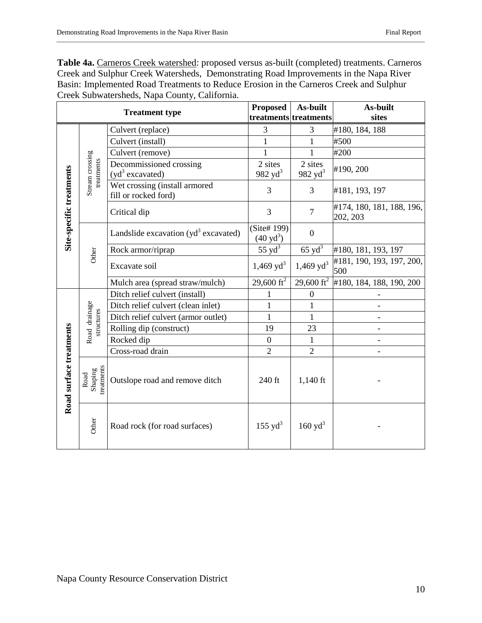Table 4a. **Carneros Creek watershed:** proposed versus as-built (completed) treatments. Carneros Creek and Sulphur Creek Watersheds, Demonstrating Road Improvements in the Napa River Basin: Implemented Road Treatments to Reduce Erosion in the Carneros Creek and Sulphur Creek Subwatersheds, Napa County, California.

|                          |                                               | <b>Treatment type</b>                                 | <b>Proposed</b><br>treatments treatments | As-built              | As-built<br>sites                               |
|--------------------------|-----------------------------------------------|-------------------------------------------------------|------------------------------------------|-----------------------|-------------------------------------------------|
|                          |                                               | Culvert (replace)                                     | 3                                        | 3                     | #180, 184, 188                                  |
|                          |                                               | Culvert (install)                                     | 1                                        | $\mathbf{1}$          | #500                                            |
|                          |                                               | Culvert (remove)                                      | $\mathbf{1}$                             | 1                     | #200                                            |
|                          | Stream crossing<br>treatments                 | Decommissioned crossing<br>$(yd^3)$ excavated)        | 2 sites<br>982 $yd^3$                    | 2 sites<br>982 $yd^3$ | #190, 200                                       |
| Site-specific treatments |                                               | Wet crossing (install armored<br>fill or rocked ford) | 3                                        | 3                     | #181, 193, 197                                  |
|                          |                                               | Critical dip                                          | 3                                        | $\overline{7}$        | #174, 180, 181, 188, 196,<br>202, 203           |
|                          |                                               | Landslide excavation (yd <sup>3</sup> excavated)      | (Site# 199)<br>$(40 \text{ yd}^3)$       | $\boldsymbol{0}$      |                                                 |
|                          | Other                                         | Rock armor/riprap                                     | $55 \text{ yd}^3$                        | $65 \text{ yd}^3$     | #180, 181, 193, 197                             |
|                          |                                               | Excavate soil                                         | $1,469 \text{ yd}^3$                     | $1,469 \text{ yd}^3$  | #181, 190, 193, 197, 200,<br>500                |
|                          |                                               | Mulch area (spread straw/mulch)                       | 29,600 $\text{ft}^2$                     |                       | 29,600 ft <sup>2</sup> #180, 184, 188, 190, 200 |
|                          | Road drainage                                 | Ditch relief culvert (install)                        | 1                                        | $\boldsymbol{0}$      |                                                 |
|                          |                                               | Ditch relief culvert (clean inlet)                    | $\mathbf{1}$                             | 1                     |                                                 |
|                          | structures                                    | Ditch relief culvert (armor outlet)                   | 1                                        | $\mathbf{1}$          | $\overline{\phantom{0}}$                        |
|                          |                                               | Rolling dip (construct)                               | 19                                       | 23                    |                                                 |
|                          |                                               | Rocked dip                                            | $\overline{0}$                           | 1                     |                                                 |
|                          |                                               | Cross-road drain                                      | $\overline{2}$                           | $\overline{2}$        | $\overline{\phantom{a}}$                        |
| Road surface treatments  | reatments<br>$\operatorname{Shaping}$<br>Road | Outslope road and remove ditch                        | 240 ft                                   | $1,140$ ft            |                                                 |
|                          | Other                                         | Road rock (for road surfaces)                         | $155 \text{ yd}^3$                       | $160 \text{ yd}^3$    |                                                 |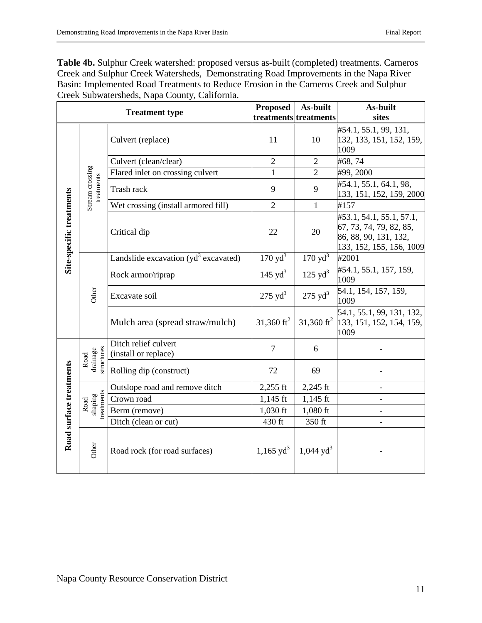**Table 4b.** Sulphur Creek watershed: proposed versus as-built (completed) treatments. Carneros Creek and Sulphur Creek Watersheds, Demonstrating Road Improvements in the Napa River Basin: Implemented Road Treatments to Reduce Erosion in the Carneros Creek and Sulphur Creek Subwatersheds, Napa County, California.

|                          |                                     | <b>Treatment type</b>                        | <b>Proposed</b>        | As-built                | As-built                                                                                                 |
|--------------------------|-------------------------------------|----------------------------------------------|------------------------|-------------------------|----------------------------------------------------------------------------------------------------------|
|                          |                                     |                                              |                        | treatments treatments   | sites                                                                                                    |
|                          |                                     | Culvert (replace)                            | 11                     | 10                      | #54.1, 55.1, 99, 131,<br>132, 133, 151, 152, 159,<br>1009                                                |
|                          |                                     | Culvert (clean/clear)                        | $\overline{2}$         | $\overline{2}$          | #68,74                                                                                                   |
|                          | Stream crossing<br>treatments       | Flared inlet on crossing culvert             | $\mathbf{1}$           | $\overline{2}$          | #99, 2000                                                                                                |
|                          |                                     | Trash rack                                   | 9                      | 9                       | #54.1, 55.1, 64.1, 98,<br>133, 151, 152, 159, 2000                                                       |
|                          |                                     | Wet crossing (install armored fill)          | $\overline{2}$         | $\mathbf{1}$            | #157                                                                                                     |
| Site-specific treatments |                                     | Critical dip                                 | 22                     | 20                      | #53.1, 54.1, 55.1, 57.1,<br>67, 73, 74, 79, 82, 85,<br>86, 88, 90, 131, 132,<br>133, 152, 155, 156, 1009 |
|                          |                                     | Landslide excavation $(yd^3)$ excavated)     | $170 \text{ yd}^3$     | $170 \text{ yd}^3$      | #2001                                                                                                    |
|                          |                                     | Rock armor/riprap                            | 145 $yd^3$             | $125 \text{ yd}^3$      | #54.1, 55.1, 157, 159,<br>1009                                                                           |
|                          | Other                               | Excavate soil                                | $275 \text{ yd}^3$     | $275 \text{ yd}^3$      | 54.1, 154, 157, 159,<br>1009                                                                             |
|                          |                                     | Mulch area (spread straw/mulch)              | 31,360 ft <sup>2</sup> | 31,360 $\text{ft}^2$    | 54.1, 55.1, 99, 131, 132,<br>133, 151, 152, 154, 159,<br>1009                                            |
|                          | structures<br>drainage<br>Road      | Ditch relief culvert<br>(install or replace) | 7                      | 6                       |                                                                                                          |
|                          |                                     | Rolling dip (construct)                      | 72                     | 69                      |                                                                                                          |
|                          |                                     | Outslope road and remove ditch               | $2,255$ ft             | $2,245$ ft              |                                                                                                          |
|                          | reatments<br>$\sin\!\alpha$<br>Road | Crown road                                   | $1,145$ ft             | $1,145$ ft              |                                                                                                          |
|                          |                                     | Berm (remove)                                | $1,030$ ft             | $1,080$ ft              |                                                                                                          |
|                          |                                     | Ditch (clean or cut)                         | 430 ft                 | 350 ft                  |                                                                                                          |
| Road surface treatments  | Other                               | Road rock (for road surfaces)                | $1,165 \text{ yd}^3$   | $1,044$ yd <sup>3</sup> |                                                                                                          |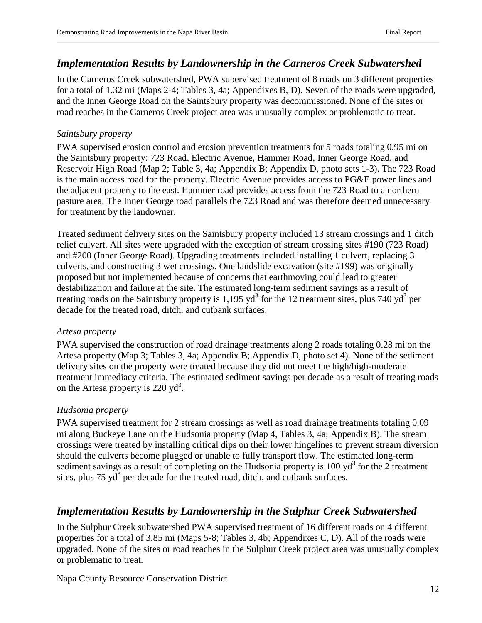#### *Implementation Results by Landownership in the Carneros Creek Subwatershed*

In the Carneros Creek subwatershed, PWA supervised treatment of 8 roads on 3 different properties for a total of 1.32 mi (Maps 2-4; Tables 3, 4a; Appendixes B, D). Seven of the roads were upgraded, and the Inner George Road on the Saintsbury property was decommissioned. None of the sites or road reaches in the Carneros Creek project area was unusually complex or problematic to treat.

#### *Saintsbury property*

PWA supervised erosion control and erosion prevention treatments for 5 roads totaling 0.95 mi on the Saintsbury property: 723 Road, Electric Avenue, Hammer Road, Inner George Road, and Reservoir High Road (Map 2; Table 3, 4a; Appendix B; Appendix D, photo sets 1-3). The 723 Road is the main access road for the property. Electric Avenue provides access to PG&E power lines and the adjacent property to the east. Hammer road provides access from the 723 Road to a northern pasture area. The Inner George road parallels the 723 Road and was therefore deemed unnecessary for treatment by the landowner.

Treated sediment delivery sites on the Saintsbury property included 13 stream crossings and 1 ditch relief culvert. All sites were upgraded with the exception of stream crossing sites #190 (723 Road) and #200 (Inner George Road). Upgrading treatments included installing 1 culvert, replacing 3 culverts, and constructing 3 wet crossings. One landslide excavation (site #199) was originally proposed but not implemented because of concerns that earthmoving could lead to greater destabilization and failure at the site. The estimated long-term sediment savings as a result of treating roads on the Saintsbury property is 1,195  $yd^3$  for the 12 treatment sites, plus 740  $yd^3$  per decade for the treated road, ditch, and cutbank surfaces.

#### *Artesa property*

PWA supervised the construction of road drainage treatments along 2 roads totaling 0.28 mi on the Artesa property (Map 3; Tables 3, 4a; Appendix B; Appendix D, photo set 4). None of the sediment delivery sites on the property were treated because they did not meet the high/high-moderate treatment immediacy criteria. The estimated sediment savings per decade as a result of treating roads on the Artesa property is 220  $yd^3$ .

#### *Hudsonia property*

PWA supervised treatment for 2 stream crossings as well as road drainage treatments totaling 0.09 mi along Buckeye Lane on the Hudsonia property (Map 4, Tables 3, 4a; Appendix B). The stream crossings were treated by installing critical dips on their lower hingelines to prevent stream diversion should the culverts become plugged or unable to fully transport flow. The estimated long-term sediment savings as a result of completing on the Hudsonia property is  $100 \text{ yd}^3$  for the 2 treatment sites, plus  $75 \text{ yd}^3$  per decade for the treated road, ditch, and cutbank surfaces.

#### *Implementation Results by Landownership in the Sulphur Creek Subwatershed*

In the Sulphur Creek subwatershed PWA supervised treatment of 16 different roads on 4 different properties for a total of 3.85 mi (Maps 5-8; Tables 3, 4b; Appendixes C, D). All of the roads were upgraded. None of the sites or road reaches in the Sulphur Creek project area was unusually complex or problematic to treat.

Napa County Resource Conservation District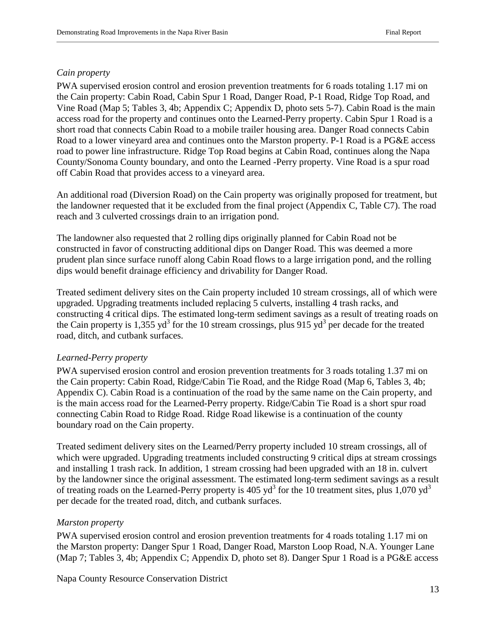#### *Cain property*

PWA supervised erosion control and erosion prevention treatments for 6 roads totaling 1.17 mi on the Cain property: Cabin Road, Cabin Spur 1 Road, Danger Road, P-1 Road, Ridge Top Road, and Vine Road (Map 5; Tables 3, 4b; Appendix C; Appendix D, photo sets 5-7). Cabin Road is the main access road for the property and continues onto the Learned-Perry property. Cabin Spur 1 Road is a short road that connects Cabin Road to a mobile trailer housing area. Danger Road connects Cabin Road to a lower vineyard area and continues onto the Marston property. P-1 Road is a PG&E access road to power line infrastructure. Ridge Top Road begins at Cabin Road, continues along the Napa County/Sonoma County boundary, and onto the Learned -Perry property. Vine Road is a spur road off Cabin Road that provides access to a vineyard area.

An additional road (Diversion Road) on the Cain property was originally proposed for treatment, but the landowner requested that it be excluded from the final project (Appendix C, Table C7). The road reach and 3 culverted crossings drain to an irrigation pond.

The landowner also requested that 2 rolling dips originally planned for Cabin Road not be constructed in favor of constructing additional dips on Danger Road. This was deemed a more prudent plan since surface runoff along Cabin Road flows to a large irrigation pond, and the rolling dips would benefit drainage efficiency and drivability for Danger Road.

Treated sediment delivery sites on the Cain property included 10 stream crossings, all of which were upgraded. Upgrading treatments included replacing 5 culverts, installing 4 trash racks, and constructing 4 critical dips. The estimated long-term sediment savings as a result of treating roads on the Cain property is 1,355 yd<sup>3</sup> for the 10 stream crossings, plus 915 yd<sup>3</sup> per decade for the treated road, ditch, and cutbank surfaces.

#### *Learned-Perry property*

PWA supervised erosion control and erosion prevention treatments for 3 roads totaling 1.37 mi on the Cain property: Cabin Road, Ridge/Cabin Tie Road, and the Ridge Road (Map 6, Tables 3, 4b; Appendix C). Cabin Road is a continuation of the road by the same name on the Cain property, and is the main access road for the Learned-Perry property. Ridge/Cabin Tie Road is a short spur road connecting Cabin Road to Ridge Road. Ridge Road likewise is a continuation of the county boundary road on the Cain property.

Treated sediment delivery sites on the Learned/Perry property included 10 stream crossings, all of which were upgraded. Upgrading treatments included constructing 9 critical dips at stream crossings and installing 1 trash rack. In addition, 1 stream crossing had been upgraded with an 18 in. culvert by the landowner since the original assessment. The estimated long-term sediment savings as a result of treating roads on the Learned-Perry property is 405  $yd^3$  for the 10 treatment sites, plus 1,070  $yd^3$ per decade for the treated road, ditch, and cutbank surfaces.

#### *Marston property*

PWA supervised erosion control and erosion prevention treatments for 4 roads totaling 1.17 mi on the Marston property: Danger Spur 1 Road, Danger Road, Marston Loop Road, N.A. Younger Lane (Map 7; Tables 3, 4b; Appendix C; Appendix D, photo set 8). Danger Spur 1 Road is a PG&E access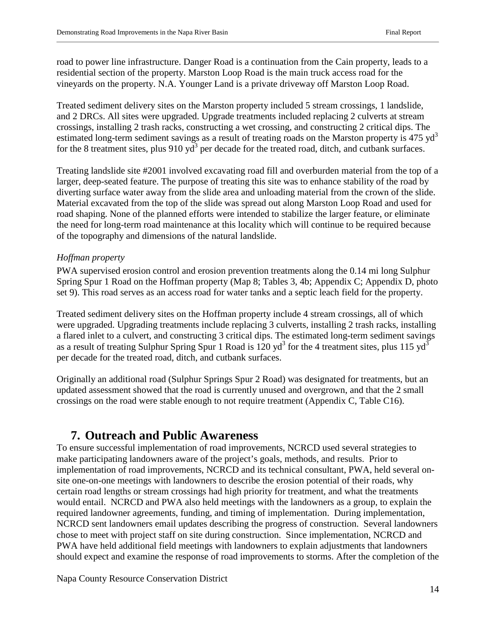road to power line infrastructure. Danger Road is a continuation from the Cain property, leads to a residential section of the property. Marston Loop Road is the main truck access road for the vineyards on the property. N.A. Younger Land is a private driveway off Marston Loop Road.

Treated sediment delivery sites on the Marston property included 5 stream crossings, 1 landslide, and 2 DRCs. All sites were upgraded. Upgrade treatments included replacing 2 culverts at stream crossings, installing 2 trash racks, constructing a wet crossing, and constructing 2 critical dips. The estimated long-term sediment savings as a result of treating roads on the Marston property is 475 yd<sup>3</sup> for the 8 treatment sites, plus  $910 \text{ yd}^3$  per decade for the treated road, ditch, and cutbank surfaces.

Treating landslide site #2001 involved excavating road fill and overburden material from the top of a larger, deep-seated feature. The purpose of treating this site was to enhance stability of the road by diverting surface water away from the slide area and unloading material from the crown of the slide. Material excavated from the top of the slide was spread out along Marston Loop Road and used for road shaping. None of the planned efforts were intended to stabilize the larger feature, or eliminate the need for long-term road maintenance at this locality which will continue to be required because of the topography and dimensions of the natural landslide.

#### *Hoffman property*

PWA supervised erosion control and erosion prevention treatments along the 0.14 mi long Sulphur Spring Spur 1 Road on the Hoffman property (Map 8; Tables 3, 4b; Appendix C; Appendix D, photo set 9). This road serves as an access road for water tanks and a septic leach field for the property.

Treated sediment delivery sites on the Hoffman property include 4 stream crossings, all of which were upgraded. Upgrading treatments include replacing 3 culverts, installing 2 trash racks, installing a flared inlet to a culvert, and constructing 3 critical dips. The estimated long-term sediment savings as a result of treating Sulphur Spring Spur 1 Road is 120  $yd^3$  for the 4 treatment sites, plus 115  $yd^3$ per decade for the treated road, ditch, and cutbank surfaces.

Originally an additional road (Sulphur Springs Spur 2 Road) was designated for treatments, but an updated assessment showed that the road is currently unused and overgrown, and that the 2 small crossings on the road were stable enough to not require treatment (Appendix C, Table C16).

### **7. Outreach and Public Awareness**

To ensure successful implementation of road improvements, NCRCD used several strategies to make participating landowners aware of the project's goals, methods, and results. Prior to implementation of road improvements, NCRCD and its technical consultant, PWA, held several onsite one-on-one meetings with landowners to describe the erosion potential of their roads, why certain road lengths or stream crossings had high priority for treatment, and what the treatments would entail. NCRCD and PWA also held meetings with the landowners as a group, to explain the required landowner agreements, funding, and timing of implementation. During implementation, NCRCD sent landowners email updates describing the progress of construction. Several landowners chose to meet with project staff on site during construction. Since implementation, NCRCD and PWA have held additional field meetings with landowners to explain adjustments that landowners should expect and examine the response of road improvements to storms. After the completion of the

Napa County Resource Conservation District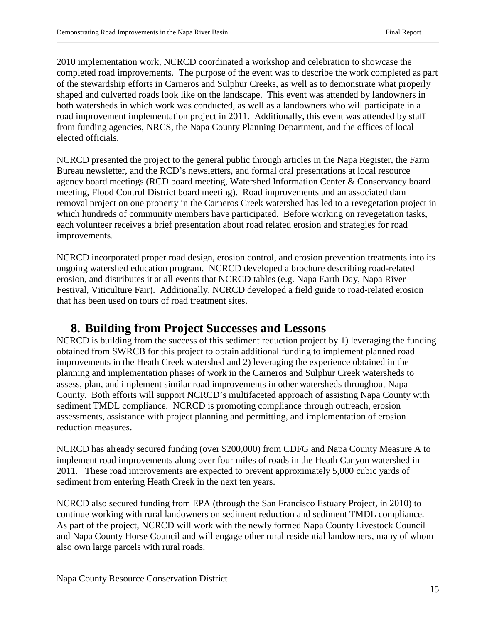2010 implementation work, NCRCD coordinated a workshop and celebration to showcase the completed road improvements. The purpose of the event was to describe the work completed as part of the stewardship efforts in Carneros and Sulphur Creeks, as well as to demonstrate what properly shaped and culverted roads look like on the landscape. This event was attended by landowners in both watersheds in which work was conducted, as well as a landowners who will participate in a road improvement implementation project in 2011. Additionally, this event was attended by staff from funding agencies, NRCS, the Napa County Planning Department, and the offices of local elected officials.

NCRCD presented the project to the general public through articles in the Napa Register, the Farm Bureau newsletter, and the RCD's newsletters, and formal oral presentations at local resource agency board meetings (RCD board meeting, Watershed Information Center & Conservancy board meeting, Flood Control District board meeting). Road improvements and an associated dam removal project on one property in the Carneros Creek watershed has led to a revegetation project in which hundreds of community members have participated. Before working on revegetation tasks, each volunteer receives a brief presentation about road related erosion and strategies for road improvements.

NCRCD incorporated proper road design, erosion control, and erosion prevention treatments into its ongoing watershed education program. NCRCD developed a brochure describing road-related erosion, and distributes it at all events that NCRCD tables (e.g. Napa Earth Day, Napa River Festival, Viticulture Fair). Additionally, NCRCD developed a field guide to road-related erosion that has been used on tours of road treatment sites.

### **8. Building from Project Successes and Lessons**

NCRCD is building from the success of this sediment reduction project by 1) leveraging the funding obtained from SWRCB for this project to obtain additional funding to implement planned road improvements in the Heath Creek watershed and 2) leveraging the experience obtained in the planning and implementation phases of work in the Carneros and Sulphur Creek watersheds to assess, plan, and implement similar road improvements in other watersheds throughout Napa County. Both efforts will support NCRCD's multifaceted approach of assisting Napa County with sediment TMDL compliance. NCRCD is promoting compliance through outreach, erosion assessments, assistance with project planning and permitting, and implementation of erosion reduction measures.

NCRCD has already secured funding (over \$200,000) from CDFG and Napa County Measure A to implement road improvements along over four miles of roads in the Heath Canyon watershed in 2011. These road improvements are expected to prevent approximately 5,000 cubic yards of sediment from entering Heath Creek in the next ten years.

NCRCD also secured funding from EPA (through the San Francisco Estuary Project, in 2010) to continue working with rural landowners on sediment reduction and sediment TMDL compliance. As part of the project, NCRCD will work with the newly formed Napa County Livestock Council and Napa County Horse Council and will engage other rural residential landowners, many of whom also own large parcels with rural roads.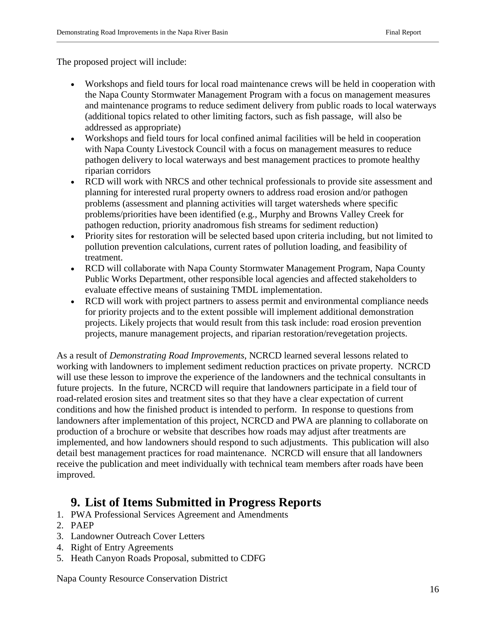The proposed project will include:

- Workshops and field tours for local road maintenance crews will be held in cooperation with the Napa County Stormwater Management Program with a focus on management measures and maintenance programs to reduce sediment delivery from public roads to local waterways (additional topics related to other limiting factors, such as fish passage, will also be addressed as appropriate)
- Workshops and field tours for local confined animal facilities will be held in cooperation with Napa County Livestock Council with a focus on management measures to reduce pathogen delivery to local waterways and best management practices to promote healthy riparian corridors
- RCD will work with NRCS and other technical professionals to provide site assessment and planning for interested rural property owners to address road erosion and/or pathogen problems (assessment and planning activities will target watersheds where specific problems/priorities have been identified (e.g., Murphy and Browns Valley Creek for pathogen reduction, priority anadromous fish streams for sediment reduction)
- Priority sites for restoration will be selected based upon criteria including, but not limited to pollution prevention calculations, current rates of pollution loading, and feasibility of treatment.
- RCD will collaborate with Napa County Stormwater Management Program, Napa County Public Works Department, other responsible local agencies and affected stakeholders to evaluate effective means of sustaining TMDL implementation.
- RCD will work with project partners to assess permit and environmental compliance needs for priority projects and to the extent possible will implement additional demonstration projects. Likely projects that would result from this task include: road erosion prevention projects, manure management projects, and riparian restoration/revegetation projects.

As a result of *Demonstrating Road Improvements*, NCRCD learned several lessons related to working with landowners to implement sediment reduction practices on private property. NCRCD will use these lesson to improve the experience of the landowners and the technical consultants in future projects. In the future, NCRCD will require that landowners participate in a field tour of road-related erosion sites and treatment sites so that they have a clear expectation of current conditions and how the finished product is intended to perform. In response to questions from landowners after implementation of this project, NCRCD and PWA are planning to collaborate on production of a brochure or website that describes how roads may adjust after treatments are implemented, and how landowners should respond to such adjustments. This publication will also detail best management practices for road maintenance. NCRCD will ensure that all landowners receive the publication and meet individually with technical team members after roads have been improved.

### **9. List of Items Submitted in Progress Reports**

- 1. PWA Professional Services Agreement and Amendments
- 2. PAEP
- 3. Landowner Outreach Cover Letters
- 4. Right of Entry Agreements
- 5. Heath Canyon Roads Proposal, submitted to CDFG

Napa County Resource Conservation District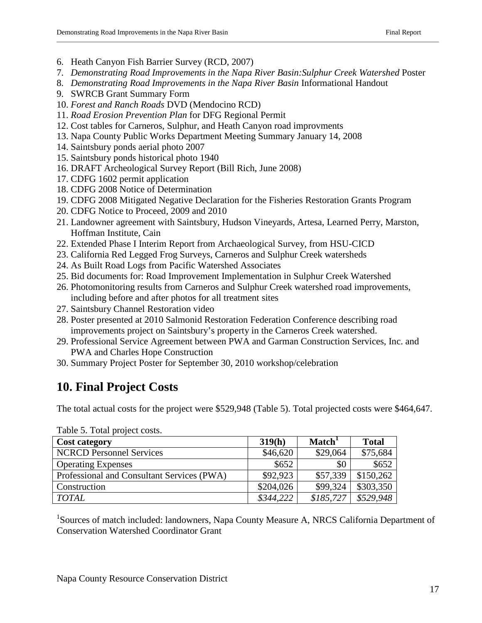- 6. Heath Canyon Fish Barrier Survey (RCD, 2007)
- 7. *Demonstrating Road Improvements in the Napa River Basin:Sulphur Creek Watershed* Poster
- 8. *Demonstrating Road Improvements in the Napa River Basin* Informational Handout
- 9. SWRCB Grant Summary Form
- 10. *Forest and Ranch Roads* DVD (Mendocino RCD)
- 11. *Road Erosion Prevention Plan* for DFG Regional Permit
- 12. Cost tables for Carneros, Sulphur, and Heath Canyon road improvments
- 13. Napa County Public Works Department Meeting Summary January 14, 2008
- 14. Saintsbury ponds aerial photo 2007
- 15. Saintsbury ponds historical photo 1940
- 16. DRAFT Archeological Survey Report (Bill Rich, June 2008)
- 17. CDFG 1602 permit application
- 18. CDFG 2008 Notice of Determination
- 19. CDFG 2008 Mitigated Negative Declaration for the Fisheries Restoration Grants Program
- 20. CDFG Notice to Proceed, 2009 and 2010
- 21. Landowner agreement with Saintsbury, Hudson Vineyards, Artesa, Learned Perry, Marston, Hoffman Institute, Cain
- 22. Extended Phase I Interim Report from Archaeological Survey, from HSU-CICD
- 23. California Red Legged Frog Surveys, Carneros and Sulphur Creek watersheds
- 24. As Built Road Logs from Pacific Watershed Associates
- 25. Bid documents for: Road Improvement Implementation in Sulphur Creek Watershed
- 26. Photomonitoring results from Carneros and Sulphur Creek watershed road improvements, including before and after photos for all treatment sites
- 27. Saintsbury Channel Restoration video
- 28. Poster presented at 2010 Salmonid Restoration Federation Conference describing road improvements project on Saintsbury's property in the Carneros Creek watershed.
- 29. Professional Service Agreement between PWA and Garman Construction Services, Inc. and PWA and Charles Hope Construction
- 30. Summary Project Poster for September 30, 2010 workshop/celebration

# **10. Final Project Costs**

The total actual costs for the project were \$529,948 (Table 5). Total projected costs were \$464,647.

| <b>Cost category</b>                       | 319(h)    | Match <sup>1</sup> | <b>Total</b> |
|--------------------------------------------|-----------|--------------------|--------------|
| <b>NCRCD Personnel Services</b>            | \$46,620  | \$29,064           | \$75,684     |
| <b>Operating Expenses</b>                  | \$652     | \$0                | \$652        |
| Professional and Consultant Services (PWA) | \$92,923  | \$57,339           | \$150,262    |
| Construction                               | \$204,026 | \$99,324           | \$303,350    |
| <b>TOTAL</b>                               | \$344,222 | \$185,727          | \$529,948    |

Table 5. Total project costs.

<sup>1</sup>Sources of match included: landowners, Napa County Measure A, NRCS California Department of Conservation Watershed Coordinator Grant